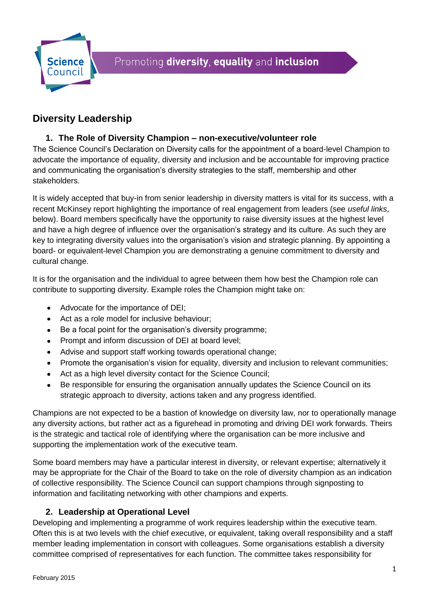

# **Diversity Leadership**

#### **1. The Role of Diversity Champion – non-executive/volunteer role**

The Science Council's Declaration on Diversity calls for the appointment of a board-level Champion to advocate the importance of equality, diversity and inclusion and be accountable for improving practice and communicating the organisation's diversity strategies to the staff, membership and other stakeholders.

It is widely accepted that buy-in from senior leadership in diversity matters is vital for its success, with a recent McKinsey report highlighting the importance of real engagement from leaders (see *useful links*, below). Board members specifically have the opportunity to raise diversity issues at the highest level and have a high degree of influence over the organisation's strategy and its culture. As such they are key to integrating diversity values into the organisation's vision and strategic planning. By appointing a board- or equivalent-level Champion you are demonstrating a genuine commitment to diversity and cultural change.

It is for the organisation and the individual to agree between them how best the Champion role can contribute to supporting diversity. Example roles the Champion might take on:

- Advocate for the importance of DEI;
- Act as a role model for inclusive behaviour;
- Be a focal point for the organisation's diversity programme;
- Prompt and inform discussion of DEI at board level;
- Advise and support staff working towards operational change;
- Promote the organisation's vision for equality, diversity and inclusion to relevant communities;
- Act as a high level diversity contact for the Science Council;
- Be responsible for ensuring the organisation annually updates the Science Council on its strategic approach to diversity, actions taken and any progress identified.

Champions are not expected to be a bastion of knowledge on diversity law, nor to operationally manage any diversity actions, but rather act as a figurehead in promoting and driving DEI work forwards. Theirs is the strategic and tactical role of identifying where the organisation can be more inclusive and supporting the implementation work of the executive team.

Some board members may have a particular interest in diversity, or relevant expertise; alternatively it may be appropriate for the Chair of the Board to take on the role of diversity champion as an indication of collective responsibility. The Science Council can support champions through signposting to information and facilitating networking with other champions and experts.

## **2. Leadership at Operational Level**

Developing and implementing a programme of work requires leadership within the executive team. Often this is at two levels with the chief executive, or equivalent, taking overall responsibility and a staff member leading implementation in consort with colleagues. Some organisations establish a diversity committee comprised of representatives for each function. The committee takes responsibility for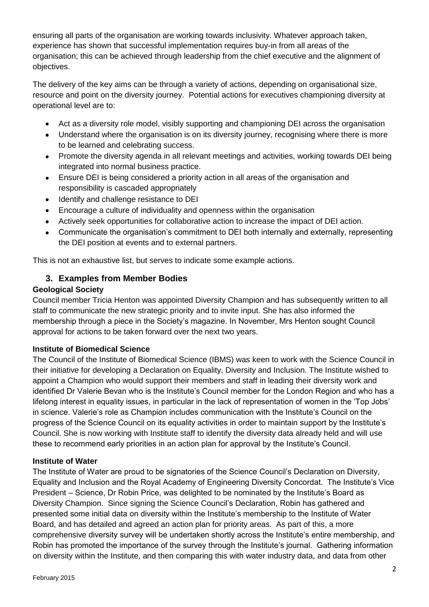ensuring all parts of the organisation are working towards inclusivity. Whatever approach taken, experience has shown that successful implementation requires buy-in from all areas of the organisation; this can be achieved through leadership from the chief executive and the alignment of objectives.

The delivery of the key aims can be through a variety of actions, depending on organisational size, resource and point on the diversity journey. Potential actions for executives championing diversity at operational level are to:

- Act as a diversity role model, visibly supporting and championing DEI across the organisation
- Understand where the organisation is on its diversity journey, recognising where there is more  $\bullet$ to be learned and celebrating success.
- $\bullet$ Promote the diversity agenda in all relevant meetings and activities, working towards DEI being integrated into normal business practice.
- Ensure DEI is being considered a priority action in all areas of the organisation and  $\bullet$ responsibility is cascaded appropriately
- Identify and challenge resistance to DEI  $\bullet$
- Encourage a culture of individuality and openness within the organisation
- Actively seek opportunities for collaborative action to increase the impact of DEI action.
- Communicate the organisation's commitment to DEI both internally and externally, representing the DEI position at events and to external partners.

This is not an exhaustive list, but serves to indicate some example actions.

## **3. Examples from Member Bodies**

#### **Geological Society**

Council member Tricia Henton was appointed Diversity Champion and has subsequently written to all staff to communicate the new strategic priority and to invite input. She has also informed the membership through a piece in the Society's magazine. In November, Mrs Henton sought Council approval for actions to be taken forward over the next two years.

#### **Institute of Biomedical Science**

The Council of the Institute of Biomedical Science (IBMS) was keen to work with the Science Council in their initiative for developing a Declaration on Equality, Diversity and Inclusion. The Institute wished to appoint a Champion who would support their members and staff in leading their diversity work and identified Dr Valerie Bevan who is the Institute's Council member for the London Region and who has a lifelong interest in equality issues, in particular in the lack of representation of women in the 'Top Jobs' in science. Valerie's role as Champion includes communication with the Institute's Council on the progress of the Science Council on its equality activities in order to maintain support by the Institute's Council. She is now working with Institute staff to identify the diversity data already held and will use these to recommend early priorities in an action plan for approval by the Institute's Council.

#### **Institute of Water**

The Institute of Water are proud to be signatories of the Science Council's Declaration on Diversity, Equality and Inclusion and the Royal Academy of Engineering Diversity Concordat. The Institute's Vice President – Science, Dr Robin Price, was delighted to be nominated by the Institute's Board as Diversity Champion. Since signing the Science Council's Declaration, Robin has gathered and presented some initial data on diversity within the Institute's membership to the Institute of Water Board, and has detailed and agreed an action plan for priority areas. As part of this, a more comprehensive diversity survey will be undertaken shortly across the Institute's entire membership, and Robin has promoted the importance of the survey through the Institute's journal. Gathering information on diversity within the Institute, and then comparing this with water industry data, and data from other